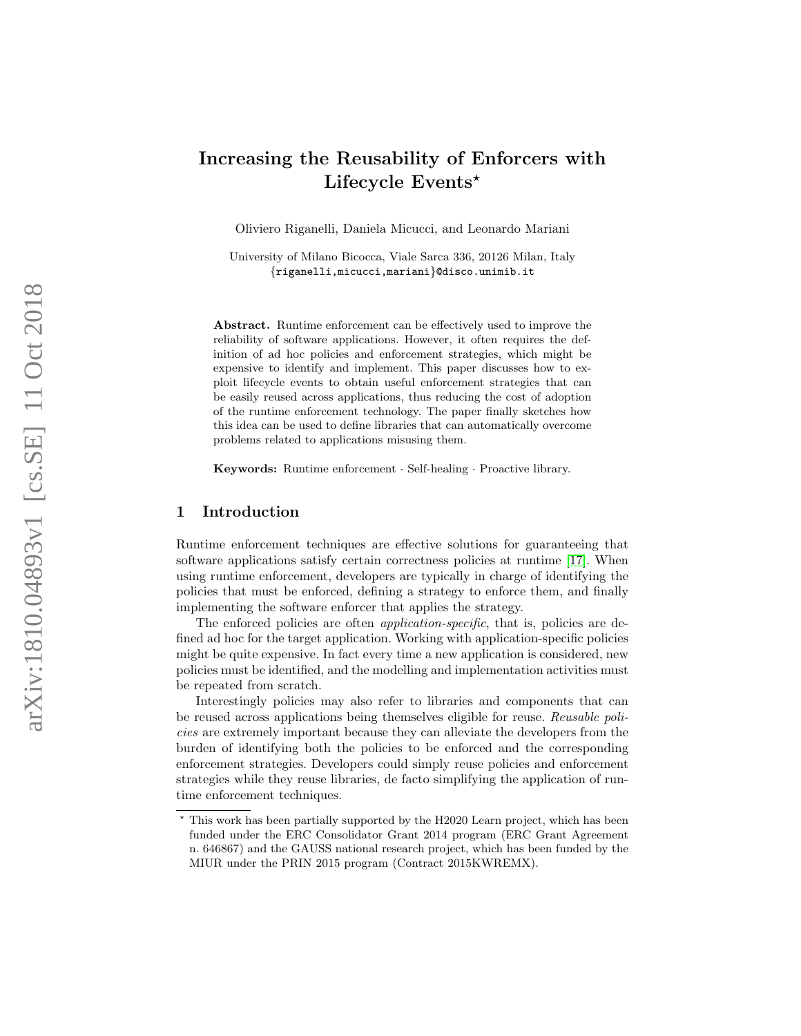# Increasing the Reusability of Enforcers with Lifecycle Events\*

Oliviero Riganelli, Daniela Micucci, and Leonardo Mariani

University of Milano Bicocca, Viale Sarca 336, 20126 Milan, Italy {riganelli,micucci,mariani}@disco.unimib.it

Abstract. Runtime enforcement can be effectively used to improve the reliability of software applications. However, it often requires the definition of ad hoc policies and enforcement strategies, which might be expensive to identify and implement. This paper discusses how to exploit lifecycle events to obtain useful enforcement strategies that can be easily reused across applications, thus reducing the cost of adoption of the runtime enforcement technology. The paper finally sketches how this idea can be used to define libraries that can automatically overcome problems related to applications misusing them.

Keywords: Runtime enforcement · Self-healing · Proactive library.

### 1 Introduction

Runtime enforcement techniques are effective solutions for guaranteeing that software applications satisfy certain correctness policies at runtime [\[17\]](#page-5-0). When using runtime enforcement, developers are typically in charge of identifying the policies that must be enforced, defining a strategy to enforce them, and finally implementing the software enforcer that applies the strategy.

The enforced policies are often *application-specific*, that is, policies are defined ad hoc for the target application. Working with application-specific policies might be quite expensive. In fact every time a new application is considered, new policies must be identified, and the modelling and implementation activities must be repeated from scratch.

Interestingly policies may also refer to libraries and components that can be reused across applications being themselves eligible for reuse. Reusable policies are extremely important because they can alleviate the developers from the burden of identifying both the policies to be enforced and the corresponding enforcement strategies. Developers could simply reuse policies and enforcement strategies while they reuse libraries, de facto simplifying the application of runtime enforcement techniques.

<sup>?</sup> This work has been partially supported by the H2020 Learn project, which has been funded under the ERC Consolidator Grant 2014 program (ERC Grant Agreement n. 646867) and the GAUSS national research project, which has been funded by the MIUR under the PRIN 2015 program (Contract 2015KWREMX).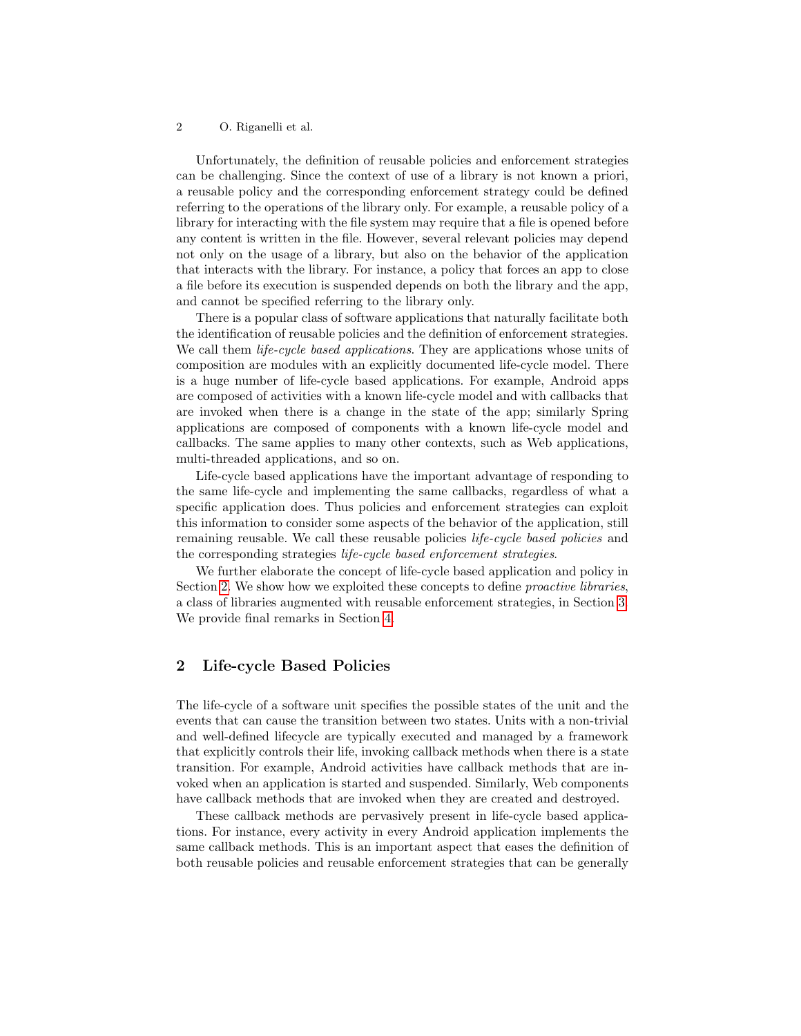#### 2 O. Riganelli et al.

Unfortunately, the definition of reusable policies and enforcement strategies can be challenging. Since the context of use of a library is not known a priori, a reusable policy and the corresponding enforcement strategy could be defined referring to the operations of the library only. For example, a reusable policy of a library for interacting with the file system may require that a file is opened before any content is written in the file. However, several relevant policies may depend not only on the usage of a library, but also on the behavior of the application that interacts with the library. For instance, a policy that forces an app to close a file before its execution is suspended depends on both the library and the app, and cannot be specified referring to the library only.

There is a popular class of software applications that naturally facilitate both the identification of reusable policies and the definition of enforcement strategies. We call them *life-cycle based applications*. They are applications whose units of composition are modules with an explicitly documented life-cycle model. There is a huge number of life-cycle based applications. For example, Android apps are composed of activities with a known life-cycle model and with callbacks that are invoked when there is a change in the state of the app; similarly Spring applications are composed of components with a known life-cycle model and callbacks. The same applies to many other contexts, such as Web applications, multi-threaded applications, and so on.

Life-cycle based applications have the important advantage of responding to the same life-cycle and implementing the same callbacks, regardless of what a specific application does. Thus policies and enforcement strategies can exploit this information to consider some aspects of the behavior of the application, still remaining reusable. We call these reusable policies life-cycle based policies and the corresponding strategies life-cycle based enforcement strategies.

We further elaborate the concept of life-cycle based application and policy in Section [2.](#page-1-0) We show how we exploited these concepts to define *proactive libraries*, a class of libraries augmented with reusable enforcement strategies, in Section [3.](#page-2-0) We provide final remarks in Section [4.](#page-4-0)

# <span id="page-1-0"></span>2 Life-cycle Based Policies

The life-cycle of a software unit specifies the possible states of the unit and the events that can cause the transition between two states. Units with a non-trivial and well-defined lifecycle are typically executed and managed by a framework that explicitly controls their life, invoking callback methods when there is a state transition. For example, Android activities have callback methods that are invoked when an application is started and suspended. Similarly, Web components have callback methods that are invoked when they are created and destroyed.

These callback methods are pervasively present in life-cycle based applications. For instance, every activity in every Android application implements the same callback methods. This is an important aspect that eases the definition of both reusable policies and reusable enforcement strategies that can be generally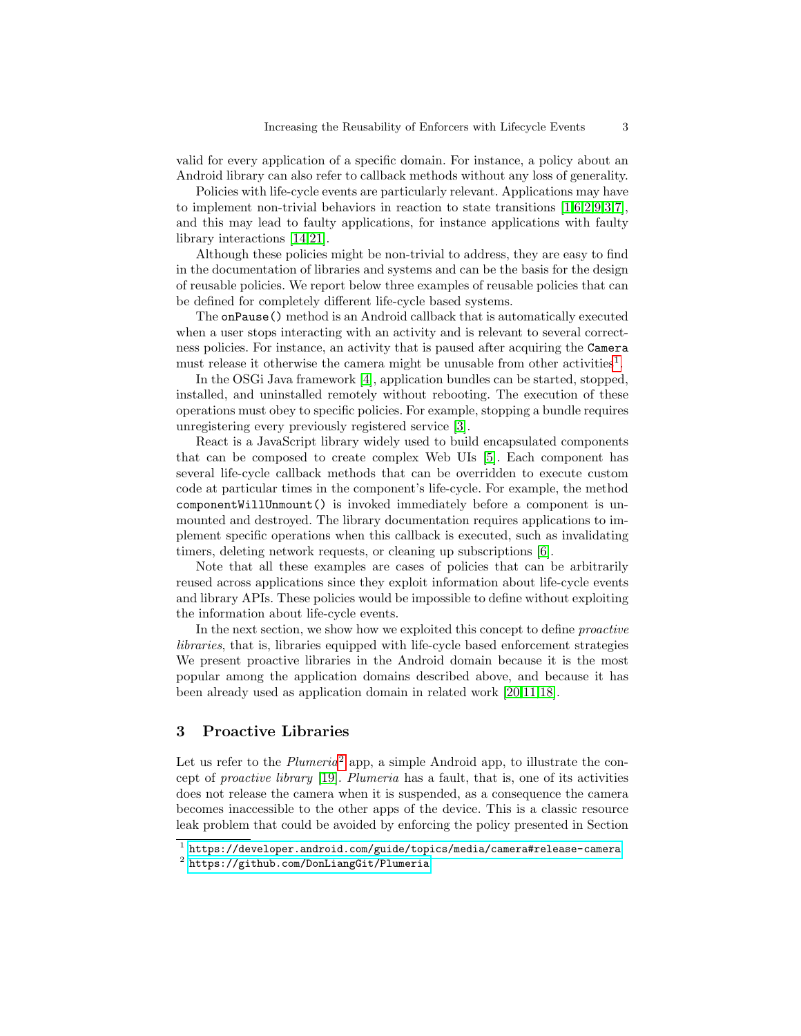valid for every application of a specific domain. For instance, a policy about an Android library can also refer to callback methods without any loss of generality.

Policies with life-cycle events are particularly relevant. Applications may have to implement non-trivial behaviors in reaction to state transitions [\[1,](#page-5-1)[6,](#page-5-2)[2,](#page-5-3)[9,](#page-5-4)[3,](#page-5-5)[7\]](#page-5-6), and this may lead to faulty applications, for instance applications with faulty library interactions [\[14,](#page-5-7)[21\]](#page-5-8).

Although these policies might be non-trivial to address, they are easy to find in the documentation of libraries and systems and can be the basis for the design of reusable policies. We report below three examples of reusable policies that can be defined for completely different life-cycle based systems.

The onPause() method is an Android callback that is automatically executed when a user stops interacting with an activity and is relevant to several correctness policies. For instance, an activity that is paused after acquiring the Camera must release it otherwise the camera might be unusable from other activities<sup>[1](#page-2-1)</sup>.

In the OSGi Java framework [\[4\]](#page-5-9), application bundles can be started, stopped, installed, and uninstalled remotely without rebooting. The execution of these operations must obey to specific policies. For example, stopping a bundle requires unregistering every previously registered service [\[3\]](#page-5-5).

React is a JavaScript library widely used to build encapsulated components that can be composed to create complex Web UIs [\[5\]](#page-5-10). Each component has several life-cycle callback methods that can be overridden to execute custom code at particular times in the component's life-cycle. For example, the method componentWillUnmount() is invoked immediately before a component is unmounted and destroyed. The library documentation requires applications to implement specific operations when this callback is executed, such as invalidating timers, deleting network requests, or cleaning up subscriptions [\[6\]](#page-5-2).

Note that all these examples are cases of policies that can be arbitrarily reused across applications since they exploit information about life-cycle events and library APIs. These policies would be impossible to define without exploiting the information about life-cycle events.

In the next section, we show how we exploited this concept to define proactive libraries, that is, libraries equipped with life-cycle based enforcement strategies We present proactive libraries in the Android domain because it is the most popular among the application domains described above, and because it has been already used as application domain in related work [\[20,](#page-5-11)[11,](#page-5-12)[18\]](#page-5-13).

# <span id="page-2-0"></span>3 Proactive Libraries

Let us refer to the  $Plumeria^2$  $Plumeria^2$  app, a simple Android app, to illustrate the concept of proactive library [\[19\]](#page-5-14). Plumeria has a fault, that is, one of its activities does not release the camera when it is suspended, as a consequence the camera becomes inaccessible to the other apps of the device. This is a classic resource leak problem that could be avoided by enforcing the policy presented in Section

<span id="page-2-1"></span> $^{\rm 1}$  <https://developer.android.com/guide/topics/media/camera#release-camera>

<span id="page-2-2"></span> $^2$  <https://github.com/DonLiangGit/Plumeria>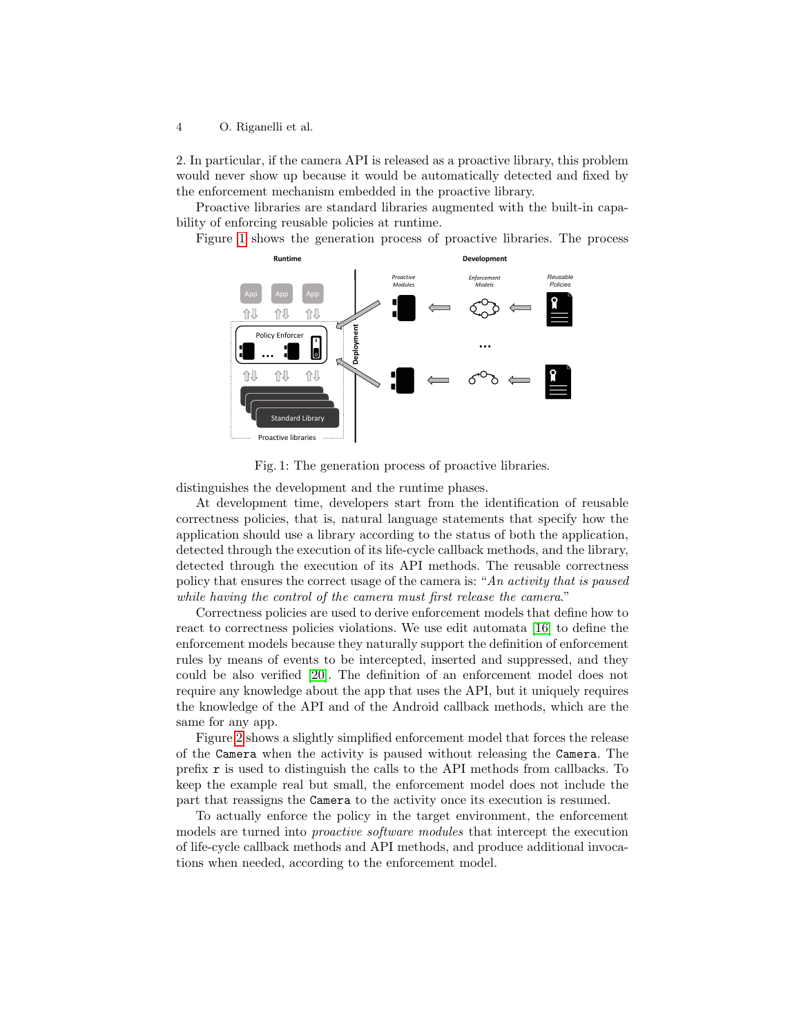4 O. Riganelli et al.

2. In particular, if the camera API is released as a proactive library, this problem would never show up because it would be automatically detected and fixed by the enforcement mechanism embedded in the proactive library.

Proactive libraries are standard libraries augmented with the built-in capability of enforcing reusable policies at runtime.

<span id="page-3-0"></span>Figure [1](#page-3-0) shows the generation process of proactive libraries. The process



Fig. 1: The generation process of proactive libraries.

distinguishes the development and the runtime phases.

At development time, developers start from the identification of reusable correctness policies, that is, natural language statements that specify how the application should use a library according to the status of both the application, detected through the execution of its life-cycle callback methods, and the library, detected through the execution of its API methods. The reusable correctness policy that ensures the correct usage of the camera is: "An activity that is paused while having the control of the camera must first release the camera."

Correctness policies are used to derive enforcement models that define how to react to correctness policies violations. We use edit automata [\[16\]](#page-5-15) to define the enforcement models because they naturally support the definition of enforcement rules by means of events to be intercepted, inserted and suppressed, and they could be also verified [\[20\]](#page-5-11). The definition of an enforcement model does not require any knowledge about the app that uses the API, but it uniquely requires the knowledge of the API and of the Android callback methods, which are the same for any app.

Figure [2](#page-4-1) shows a slightly simplified enforcement model that forces the release of the Camera when the activity is paused without releasing the Camera. The prefix r is used to distinguish the calls to the API methods from callbacks. To keep the example real but small, the enforcement model does not include the part that reassigns the Camera to the activity once its execution is resumed.

To actually enforce the policy in the target environment, the enforcement models are turned into proactive software modules that intercept the execution of life-cycle callback methods and API methods, and produce additional invocations when needed, according to the enforcement model.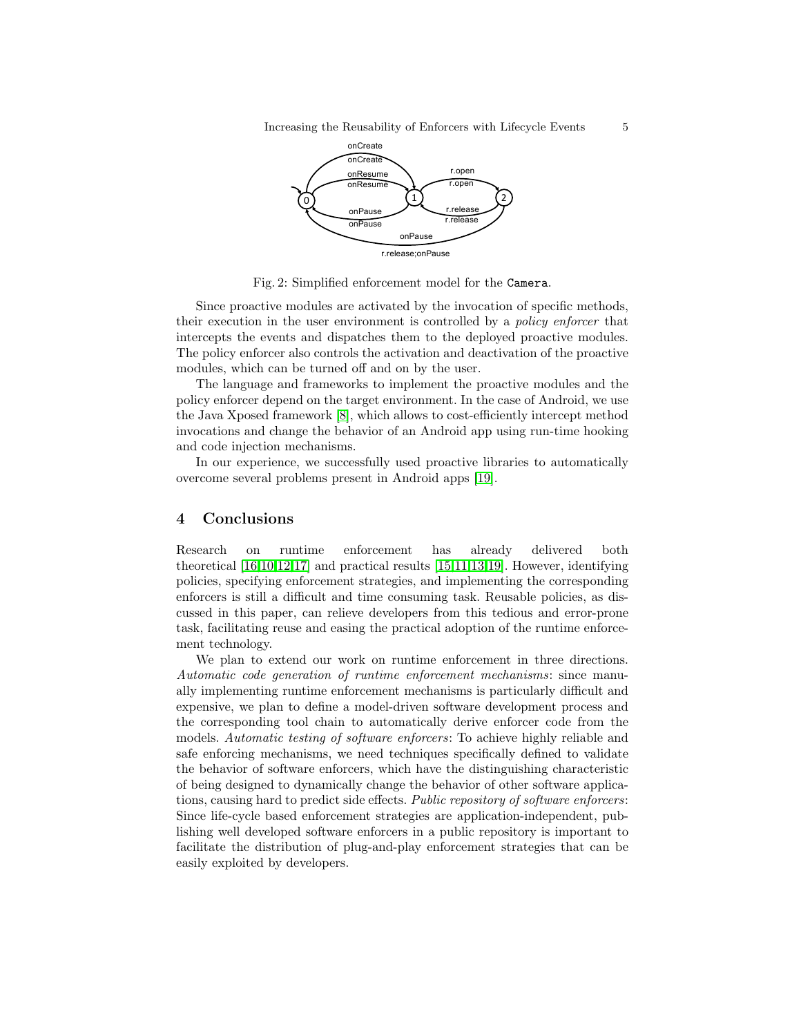<span id="page-4-1"></span>

Fig. 2: Simplified enforcement model for the Camera.

Since proactive modules are activated by the invocation of specific methods, their execution in the user environment is controlled by a policy enforcer that intercepts the events and dispatches them to the deployed proactive modules. The policy enforcer also controls the activation and deactivation of the proactive modules, which can be turned off and on by the user.

The language and frameworks to implement the proactive modules and the policy enforcer depend on the target environment. In the case of Android, we use the Java Xposed framework [\[8\]](#page-5-16), which allows to cost-efficiently intercept method invocations and change the behavior of an Android app using run-time hooking and code injection mechanisms.

In our experience, we successfully used proactive libraries to automatically overcome several problems present in Android apps [\[19\]](#page-5-14).

# <span id="page-4-0"></span>4 Conclusions

Research on runtime enforcement has already delivered both theoretical [\[16,](#page-5-15)[10](#page-5-17)[,12,](#page-5-18)[17\]](#page-5-0) and practical results [\[15,](#page-5-19)[11,](#page-5-12)[13,](#page-5-20)[19\]](#page-5-14). However, identifying policies, specifying enforcement strategies, and implementing the corresponding enforcers is still a difficult and time consuming task. Reusable policies, as discussed in this paper, can relieve developers from this tedious and error-prone task, facilitating reuse and easing the practical adoption of the runtime enforcement technology.

We plan to extend our work on runtime enforcement in three directions. Automatic code generation of runtime enforcement mechanisms: since manually implementing runtime enforcement mechanisms is particularly difficult and expensive, we plan to define a model-driven software development process and the corresponding tool chain to automatically derive enforcer code from the models. Automatic testing of software enforcers: To achieve highly reliable and safe enforcing mechanisms, we need techniques specifically defined to validate the behavior of software enforcers, which have the distinguishing characteristic of being designed to dynamically change the behavior of other software applications, causing hard to predict side effects. Public repository of software enforcers: Since life-cycle based enforcement strategies are application-independent, publishing well developed software enforcers in a public repository is important to facilitate the distribution of plug-and-play enforcement strategies that can be easily exploited by developers.